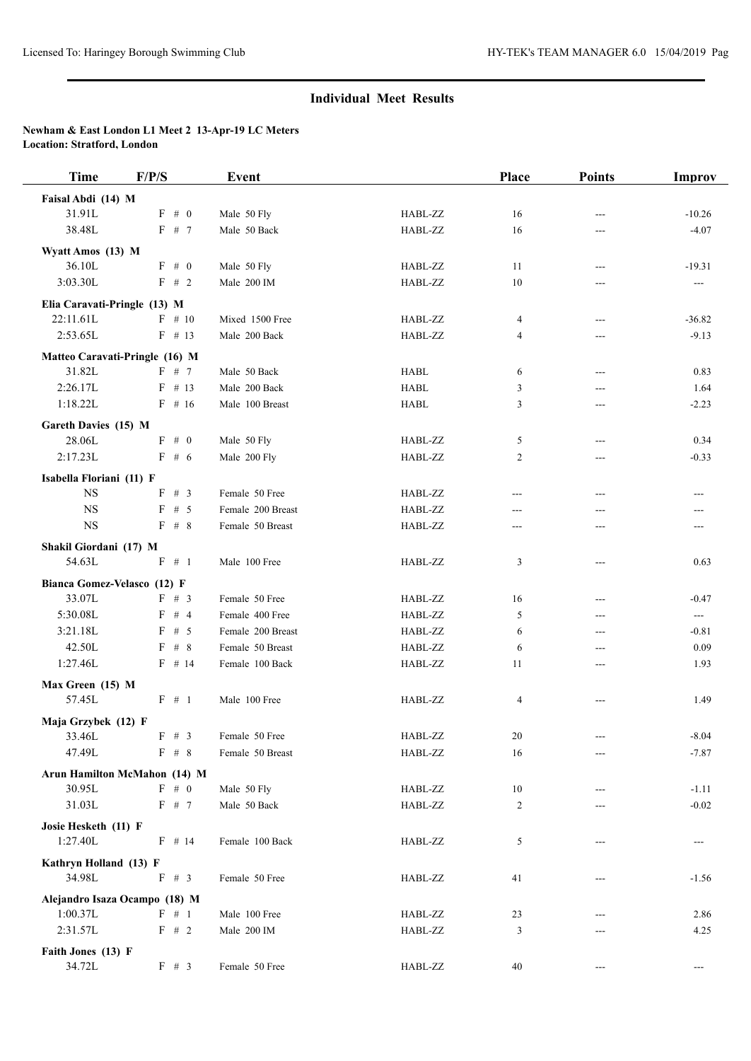## **Individual Meet Results**

## **Newham & East London L1 Meet 2 13-Apr-19 LC Meters Location: Stratford, London**

| <b>Time</b>                              | F/P/S           | <b>Event</b>                |                    | Place          | <b>Points</b> | Improv                   |
|------------------------------------------|-----------------|-----------------------------|--------------------|----------------|---------------|--------------------------|
| Faisal Abdi (14) M                       |                 |                             |                    |                |               |                          |
| 31.91L                                   | $F \# 0$        | Male 50 Fly                 | HABL-ZZ            | 16             |               | $-10.26$                 |
| 38.48L                                   | F # 7           | Male 50 Back                | HABL-ZZ            | 16             | ---           | $-4.07$                  |
| Wyatt Amos (13) M                        |                 |                             |                    |                |               |                          |
| 36.10L                                   | $F \# 0$        | Male 50 Fly                 | HABL-ZZ            | 11             | $---$         | $-19.31$                 |
| 3:03.30L                                 | F # 2           | Male 200 IM                 | HABL-ZZ            | 10             |               | $\hspace{0.05cm} \ldots$ |
| Elia Caravati-Pringle (13) M             |                 |                             |                    |                |               |                          |
| 22:11.61L                                | $F \# 10$       | Mixed 1500 Free             | HABL-ZZ            | 4              | ---           | $-36.82$                 |
| 2:53.65L                                 | $F$ # 13        | Male 200 Back               | HABL-ZZ            | $\overline{4}$ | ---           | $-9.13$                  |
|                                          |                 |                             |                    |                |               |                          |
| Matteo Caravati-Pringle (16) M<br>31.82L | $F \# 7$        | Male 50 Back                | <b>HABL</b>        | 6              | ---           | 0.83                     |
| 2:26.17L                                 | $F$ # 13        | Male 200 Back               | <b>HABL</b>        | 3              | ---           | 1.64                     |
| 1:18.22L                                 | $F$ # 16        | Male 100 Breast             | <b>HABL</b>        | 3              | ---           | $-2.23$                  |
|                                          |                 |                             |                    |                |               |                          |
| Gareth Davies (15) M                     |                 |                             |                    |                |               |                          |
| 28.06L<br>2:17.23L                       | $F \# 0$<br>F#6 | Male 50 Fly<br>Male 200 Fly | HABL-ZZ<br>HABL-ZZ | 5<br>2         | ---           | 0.34<br>$-0.33$          |
|                                          |                 |                             |                    |                | ---           |                          |
| Isabella Floriani (11) F                 |                 |                             |                    |                |               |                          |
| $_{\rm NS}$                              | F # 3           | Female 50 Free              | HABL-ZZ            |                | ---           |                          |
| <b>NS</b>                                | F # 5           | Female 200 Breast           | HABL-ZZ            | ---            | ---           |                          |
| $_{\rm NS}$                              | $F \# 8$        | Female 50 Breast            | HABL-ZZ            | ---            | ---           | ---                      |
| Shakil Giordani (17) M                   |                 |                             |                    |                |               |                          |
| 54.63L                                   | $F \# 1$        | Male 100 Free               | HABL-ZZ            | 3              | ---           | 0.63                     |
| Bianca Gomez-Velasco (12) F              |                 |                             |                    |                |               |                          |
| 33.07L                                   | F # 3           | Female 50 Free              | HABL-ZZ            | 16             | ---           | $-0.47$                  |
| 5:30.08L                                 | F # 4           | Female 400 Free             | HABL-ZZ            | 5              | ---           | $\sim$                   |
| 3:21.18L                                 | F<br># 5        | Female 200 Breast           | HABL-ZZ            | 6              | ---           | $-0.81$                  |
| 42.50L                                   | $F$ # 8         | Female 50 Breast            | HABL-ZZ            | 6              | ---           | 0.09                     |
| 1:27.46L                                 | $F$ # 14        | Female 100 Back             | HABL-ZZ            | 11             | ---           | 1.93                     |
| Max Green (15) M                         |                 |                             |                    |                |               |                          |
| 57.45L                                   | $F \# 1$        | Male 100 Free               | HABL-ZZ            | 4              | ---           | 1.49                     |
| Maja Grzybek (12) F                      |                 |                             |                    |                |               |                          |
| 33.46L                                   | F # 3           | Female 50 Free              | HABL-ZZ            | 20             | ---           | $-8.04$                  |
| 47.49L                                   | $F \# 8$        | Female 50 Breast            | HABL-ZZ            | 16             | $---$         | $-7.87$                  |
| Arun Hamilton McMahon (14) M             |                 |                             |                    |                |               |                          |
| 30.95L                                   | F # 0           | Male 50 Fly                 | HABL-ZZ            | $10\,$         |               | $-1.11$                  |
| 31.03L                                   | F # 7           | Male 50 Back                | HABL-ZZ            | 2              |               | $-0.02$                  |
|                                          |                 |                             |                    |                |               |                          |
| Josie Hesketh (11) F                     |                 |                             |                    |                |               |                          |
| 1:27.40L                                 | $F$ # 14        | Female 100 Back             | HABL-ZZ            | 5              | ---           | ---                      |
| Kathryn Holland (13) F                   |                 |                             |                    |                |               |                          |
| 34.98L                                   | F # 3           | Female 50 Free              | HABL-ZZ            | 41             |               | $-1.56$                  |
| Alejandro Isaza Ocampo (18) M            |                 |                             |                    |                |               |                          |
| 1:00.37L                                 | F # 1           | Male 100 Free               | HABL-ZZ            | 23             |               | 2.86                     |
| 2:31.57L                                 | F # 2           | Male 200 IM                 | HABL-ZZ            | 3              | ---           | 4.25                     |
| Faith Jones (13) F                       |                 |                             |                    |                |               |                          |
| 34.72L                                   | F # 3           | Female 50 Free              | HABL-ZZ            | 40             |               | $---$                    |